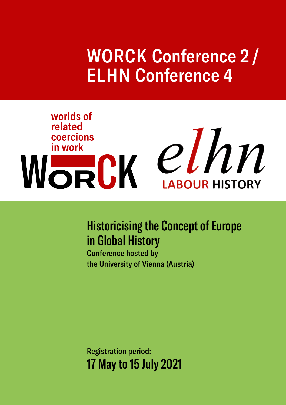## WORCK Conference 2 / ELHN Conference 4

# worlds of related Elated<br>
WORCK CINN

## Historicising the Concept of Europe in Global History

Conference hosted by the University of Vienna (Austria)

Registration period: 17 May to 15 July 2021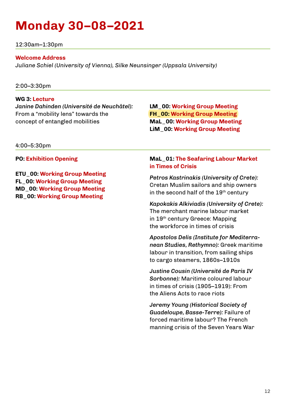## **Monday 30–08–2021**

12:30am–1:30pm

#### **Welcome Address**

*Juliane Schiel (University of Vienna), Silke Neunsinger (Uppsala University)*

#### 2:00–3:30pm

#### **WG 3: Lecture**

*Janine Dahinden (Université de Neuchâtel):* From a "mobility lens" towards the concept of entangled mobilities

4:00–5:30pm

**PO: Exhibition Opening** 

**ETU\_00: Working Group Meeting FL\_00: Working Group Meeting MD\_00: Working Group Meeting RB\_00: Working Group Meeting**

**LM\_00: Working Group Meeting FH\_00: Working Group Meeting MaL\_00: Working Group Meeting LiM\_00: Working Group Meeting**

#### **MaL\_01: The Seafaring Labour Market in Times of Crisis**

*Petros Kastrinakis (University of Crete):* Cretan Muslim sailors and ship owners in the second half of the  $19<sup>th</sup>$  century

*Kapokakis Alkiviadis (University of Crete):* The merchant marine labour market in 19th century Greece: Mapping the workforce in times of crisis

*Apostolos Delis (Institute for Mediterranean Studies, Rethymno):* Greek maritime labour in transition, from sailing ships to cargo steamers, 1860s–1910s

*Justine Cousin (Université de Paris IV Sorbonne):* Maritime coloured labour in times of crisis (1905–1919): From the Aliens Acts to race riots

*Jeremy Young (Historical Society of Guadeloupe, Basse-Terre):* Failure of forced maritime labour? The French manning crisis of the Seven Years War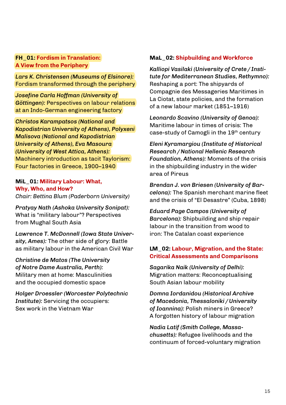#### **FH\_01: Fordism in Translation: A View from the Periphery**

*Lars K. Christensen (Museums of Elsinore):* Fordism transformed through the periphery

*Josefine Carla Hoffman (University of Göttingen):* Perspectives on labour relations at an Indo-German engineering factory

*Christos Karampatsos (National and Kapodistrian University of Athens), Polyxeni Malisova (National and Kapodistrian University of Athens), Eva Masoura (University of West Attica, Athens):* Machinery introduction as tacit Taylorism: Four factories in Greece, 1900–1940

#### **MiL\_01: Military Labour: What, Why, Who, and How?**  *Chair: Bettina Blum (Paderborn University)*

*Pratyay Nath (Ashoka University Sonipat):* What is "military labour"? Perspectives from Mughal South Asia

*Lawrence T. McDonnell (Iowa State University, Ames):* The other side of glory: Battle as military labour in the American Civil War

*Christine de Matos (The University of Notre Dame Australia, Perth):* Military men at home: Masculinities and the occupied domestic space

*Holger Droessler (Worcester Polytechnic Institute):* Servicing the occupiers: Sex work in the Vietnam War

#### **MaL\_02: Shipbuilding and Workforce**

*Kalliopi Vasilaki (University of Crete / Institute for Mediterranean Studies, Rethymno):* Reshaping a port: The shipyards of Compagnie des Messageries Maritimes in La Ciotat, state policies, and the formation of a new labour market (1851–1916)

*Leonardo Scavino (University of Genoa):* Maritime labour in times of crisis: The case-study of Camogli in the 19th century

*Eleni Kyramargiou (Institute of Historical Research / National Hellenic Research Foundation, Athens):* Moments of the crisis in the shipbuilding industry in the wider area of Pireus

*Brendan J. von Briesen (University of Barcelona):* The Spanish merchant marine fleet and the crisis of "El Desastre" (Cuba, 1898)

*Eduard Page Campos (University of Barcelona):* Shipbuilding and ship repair labour in the transition from wood to iron: The Catalan coast experience

#### **LM\_02: Labour, Migration, and the State: Critical Assessments and Comparisons**

*Sagarika Naik (University of Delhi):* Migration matters: Reconceptualising South Asian labour mobility

*Domna Iordanidou (Historical Archive of Macedonia, Thessaloniki / University of Ioannina):* Polish miners in Greece? A forgotten history of labour migration

*Nadia Latif (Smith College, Massachusetts):* Refugee livelihoods and the continuum of forced-voluntary migration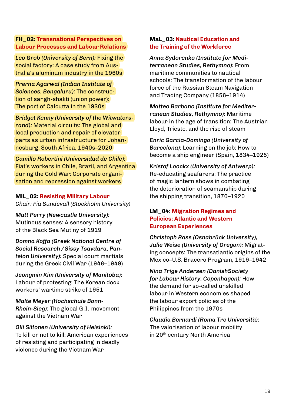#### **FH\_02: Transnational Perspectives on Labour Processes and Labour Relations**

*Leo Grob (University of Bern):* Fixing the social factory: A case study from Australia's aluminum industry in the 1960s

*Prerna Agarwal (Indian Institute of Sciences, Bengaluru):* The construction of sangh-shakti (union power): The port of Calcutta in the 1930s

*Bridget Kenny (University of the Witwatersrand):* Material circuits: The global and local production and repair of elevator parts as urban infrastructure for Johannesburg, South Africa, 1940s–2020

*Camillo Robertini (Universidad de Chile):* Fiat's workers in Chile, Brazil, and Argentina during the Cold War: Corporate organisation and repression against workers

**MiL\_02: Resisting Military Labour**  *Chair: Fia Sundevall (Stockholm University)*

*Matt Perry (Newcastle University):* Mutinous senses: A sensory history of the Black Sea Mutiny of 1919

*Domna Koffa (Greek National Centre of Social Research / Sissy Tsavdara, Panteion University):* Special court martials during the Greek Civil War (1946–1949)

*Jeongmin Kim (University of Manitoba):* Labour of protesting: The Korean dock workers' wartime strike of 1951

*Malte Meyer (Hochschule Bonn-Rhein-Sieg):* The global G.I. movement against the Vietnam War

*Olli Siitonen (University of Helsinki):* To kill or not to kill: American experiences of resisting and participating in deadly violence during the Vietnam War

#### **MaL\_03: Nautical Education and the Training of the Workforce**

*Anna Sydorenko (Institute for Mediterranean Studies, Rethymno):* From maritime communities to nautical schools: The transformation of the labour force of the Russian Steam Navigation and Trading Company (1856–1914)

*Matteo Barbano (Institute for Mediterranean Studies, Rethymno):* Maritime labour in the age of transition: The Austrian Lloyd, Trieste, and the rise of steam

*Enric Garcia-Domingo (University of Barcelona):* Learning on the job: How to become a ship engineer (Spain, 1834–1925)

*Kristof Loockx (University of Antwerp):* Re-educating seafarers: The practice of magic lantern shows in combating the deterioration of seamanship during the shipping transition, 1870–1920

#### **LM\_04: Migration Regimes and Policies: Atlantic and Western European Experiences**

*Christoph Rass (Osnabrück University), Julie Weise (University of Oregon):* Migrating concepts: The transatlantic origins of the Mexico–U.S. Bracero Program, 1919–1942

*Nina Trige Andersen (DanishSociety for Labour History, Copenhagen):* How the demand for so-called unskilled labour in Western economies shaped the labour export policies of the Philippines from the 1970s

*Claudia Bernardi (Roma Tre Università):* The valorisation of labour mobility in 20<sup>th</sup> century North America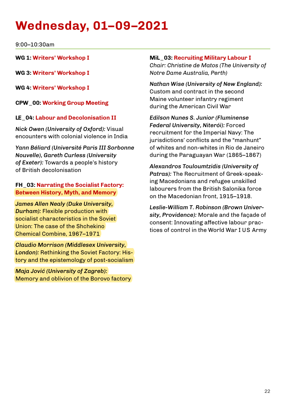## **Wednesday, 01–09–2021**

9:00–10:30am

**WG 1: Writers' Workshop I**

**WG 3: Writers' Workshop I**

**WG 4: Writers' Workshop I**

**CPW\_00: Working Group Meeting**

#### **LE\_04: Labour and Decolonisation II**

*Nick Owen (University of Oxford):* Visual encounters with colonial violence in India

*Yann Béliard (Université Paris III Sorbonne Nouvelle), Gareth Curless (University of Exeter):* Towards a people's history of British decolonisation

#### **FH\_03: Narrating the Socialist Factory: Between History, Myth, and Memory**

*James Allen Nealy (Duke University, Durham):* Flexible production with socialist characteristics in the Soviet Union: The case of the Shchekino Chemical Combine, 1967–1971

*Claudio Morrison (Middlesex University, London):* Rethinking the Soviet Factory: History and the epistemology of post-socialism

*Maja Jović (University of Zagreb):* Memory and oblivion of the Borovo factory

#### **MiL\_03: Recruiting Military Labour I**

*Chair: Christine de Matos (The University of Notre Dame Australia, Perth)*

*Nathan Wise (University of New England):* Custom and contract in the second Maine volunteer infantry regiment during the American Civil War

*Edilson Nunes S. Junior (Fluminense Federal University, Niterói):* Forced recruitment for the Imperial Navy: The iurisdictions' conflicts and the "manhunt" of whites and non-whites in Rio de Janeiro during the Paraguayan War (1865–1867)

*Alexandros Touloumtzidis (University of Patras):* The Recruitment of Greek-speaking Macedonians and refugee unskilled labourers from the British Salonika force on the Macedonian front, 1915–1918.

*Leslie-William T. Robinson (Brown University, Providence):* Morale and the façade of consent: Innovating affective labour practices of control in the World War I US Army